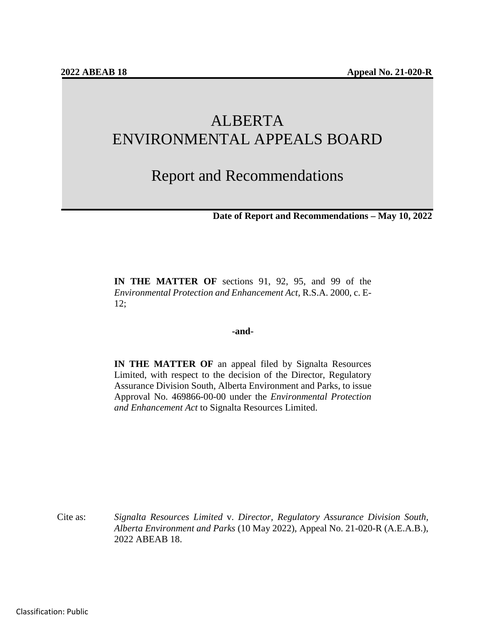# ALBERTA ENVIRONMENTAL APPEALS BOARD

## Report and Recommendations

**Date of Report and Recommendations – May 10, 2022**

**IN THE MATTER OF** sections 91, 92, 95, and 99 of the *Environmental Protection and Enhancement Act,* R.S.A. 2000, c. E-12;

#### **-and-**

**IN THE MATTER OF** an appeal filed by Signalta Resources Limited, with respect to the decision of the Director, Regulatory Assurance Division South, Alberta Environment and Parks, to issue Approval No. 469866-00-00 under the *Environmental Protection and Enhancement Act* to Signalta Resources Limited.

Cite as: *Signalta Resources Limited* v. *Director, Regulatory Assurance Division South, Alberta Environment and Parks* (10 May 2022), Appeal No. 21-020-R (A.E.A.B.), 2022 ABEAB 18.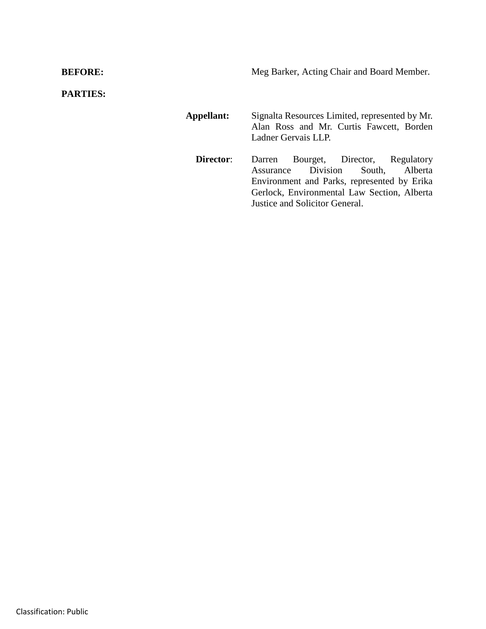**BEFORE:** Meg Barker, Acting Chair and Board Member.

**PARTIES:**

**Appellant:** Signalta Resources Limited, represented by Mr. Alan Ross and Mr. Curtis Fawcett, Borden Ladner Gervais LLP. **Director**: Darren Bourget, Director, Regulatory Assurance Division South, Alberta Environment and Parks, represented by Erika Gerlock, Environmental Law Section, Alberta Justice and Solicitor General.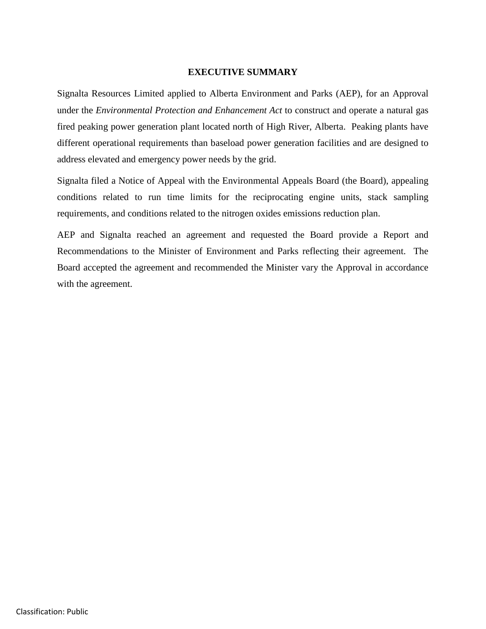#### **EXECUTIVE SUMMARY**

Signalta Resources Limited applied to Alberta Environment and Parks (AEP), for an Approval under the *Environmental Protection and Enhancement Act* to construct and operate a natural gas fired peaking power generation plant located north of High River, Alberta. Peaking plants have different operational requirements than baseload power generation facilities and are designed to address elevated and emergency power needs by the grid.

Signalta filed a Notice of Appeal with the Environmental Appeals Board (the Board), appealing conditions related to run time limits for the reciprocating engine units, stack sampling requirements, and conditions related to the nitrogen oxides emissions reduction plan.

AEP and Signalta reached an agreement and requested the Board provide a Report and Recommendations to the Minister of Environment and Parks reflecting their agreement. The Board accepted the agreement and recommended the Minister vary the Approval in accordance with the agreement.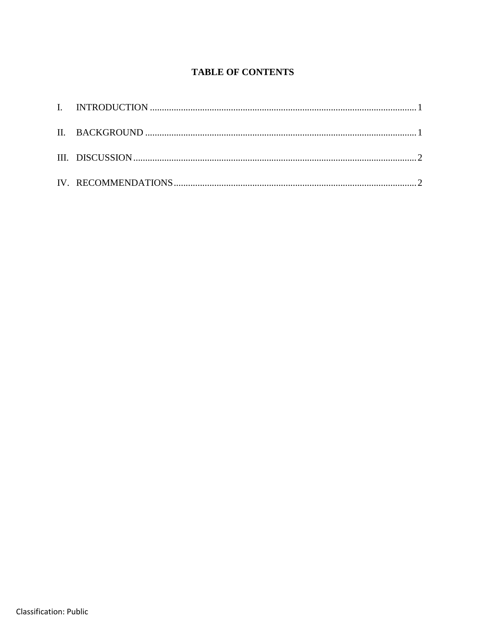## **TABLE OF CONTENTS**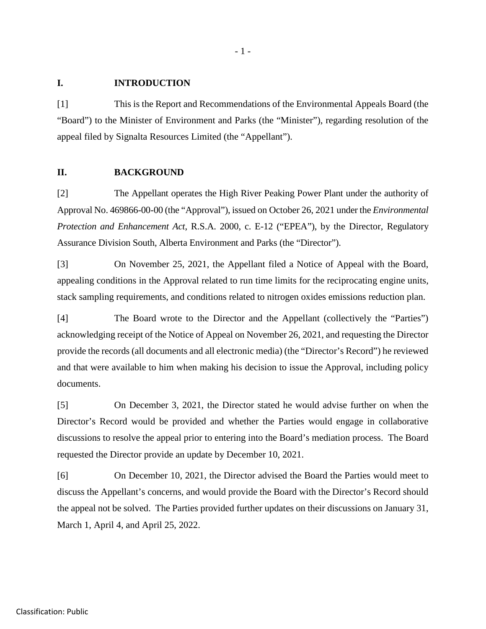#### **I. INTRODUCTION**

[1] This is the Report and Recommendations of the Environmental Appeals Board (the "Board") to the Minister of Environment and Parks (the "Minister"), regarding resolution of the appeal filed by Signalta Resources Limited (the "Appellant").

#### **II. BACKGROUND**

[2] The Appellant operates the High River Peaking Power Plant under the authority of Approval No. 469866-00-00 (the "Approval"), issued on October 26, 2021 under the *Environmental Protection and Enhancement Act*, R.S.A. 2000, c. E-12 ("EPEA"), by the Director, Regulatory Assurance Division South, Alberta Environment and Parks (the "Director").

[3] On November 25, 2021, the Appellant filed a Notice of Appeal with the Board, appealing conditions in the Approval related to run time limits for the reciprocating engine units, stack sampling requirements, and conditions related to nitrogen oxides emissions reduction plan.

[4] The Board wrote to the Director and the Appellant (collectively the "Parties") acknowledging receipt of the Notice of Appeal on November 26, 2021, and requesting the Director provide the records (all documents and all electronic media) (the "Director's Record") he reviewed and that were available to him when making his decision to issue the Approval, including policy documents.

[5] On December 3, 2021, the Director stated he would advise further on when the Director's Record would be provided and whether the Parties would engage in collaborative discussions to resolve the appeal prior to entering into the Board's mediation process. The Board requested the Director provide an update by December 10, 2021.

[6] On December 10, 2021, the Director advised the Board the Parties would meet to discuss the Appellant's concerns, and would provide the Board with the Director's Record should the appeal not be solved. The Parties provided further updates on their discussions on January 31, March 1, April 4, and April 25, 2022.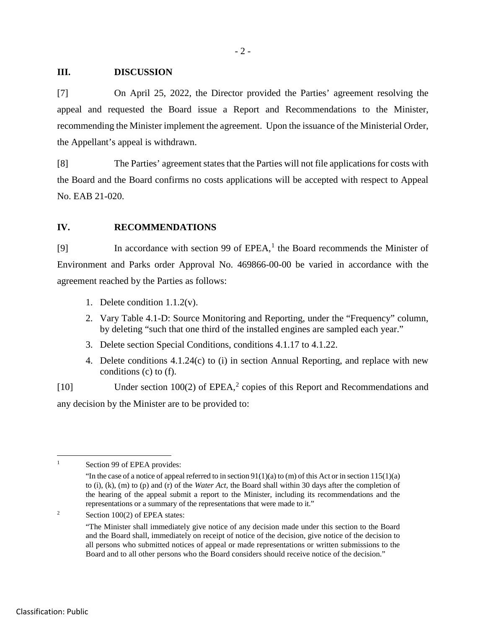#### **III. DISCUSSION**

[7] On April 25, 2022, the Director provided the Parties' agreement resolving the appeal and requested the Board issue a Report and Recommendations to the Minister, recommending the Minister implement the agreement. Upon the issuance of the Ministerial Order, the Appellant's appeal is withdrawn.

[8] The Parties' agreement states that the Parties will not file applications for costs with the Board and the Board confirms no costs applications will be accepted with respect to Appeal No. EAB 21-020.

#### **IV. RECOMMENDATIONS**

[9] In accordance with section 99 of EPEA,<sup>[1](#page-5-0)</sup> the Board recommends the Minister of Environment and Parks order Approval No. 469866-00-00 be varied in accordance with the agreement reached by the Parties as follows:

- 1. Delete condition 1.1.2(v).
- 2. Vary Table 4.1-D: Source Monitoring and Reporting, under the "Frequency" column, by deleting "such that one third of the installed engines are sampled each year."
- 3. Delete section Special Conditions, conditions 4.1.17 to 4.1.22.
- 4. Delete conditions 4.1.24(c) to (i) in section Annual Reporting, and replace with new conditions (c) to (f).

[10] Under section 100([2](#page-5-1)) of EPEA,<sup>2</sup> copies of this Report and Recommendations and any decision by the Minister are to be provided to:

<span id="page-5-0"></span><sup>&</sup>lt;sup>1</sup> Section 99 of EPEA provides:

<sup>&</sup>quot;In the case of a notice of appeal referred to in section  $91(1)(a)$  to (m) of this Act or in section  $115(1)(a)$ to (i), (k), (m) to (p) and (r) of the *Water Act*, the Board shall within 30 days after the completion of the hearing of the appeal submit a report to the Minister, including its recommendations and the representations or a summary of the representations that were made to it."

<span id="page-5-1"></span><sup>&</sup>lt;sup>2</sup> Section 100(2) of EPEA states:

<sup>&</sup>quot;The Minister shall immediately give notice of any decision made under this section to the Board and the Board shall, immediately on receipt of notice of the decision, give notice of the decision to all persons who submitted notices of appeal or made representations or written submissions to the Board and to all other persons who the Board considers should receive notice of the decision."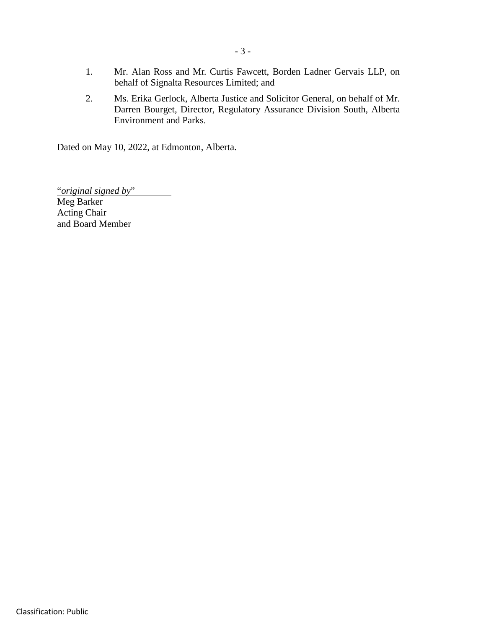- 1. Mr. Alan Ross and Mr. Curtis Fawcett, Borden Ladner Gervais LLP, on behalf of Signalta Resources Limited; and
- 2. Ms. Erika Gerlock, Alberta Justice and Solicitor General, on behalf of Mr. Darren Bourget, Director, Regulatory Assurance Division South, Alberta Environment and Parks.

Dated on May 10, 2022, at Edmonton, Alberta.

"*original signed by*" Meg Barker Acting Chair and Board Member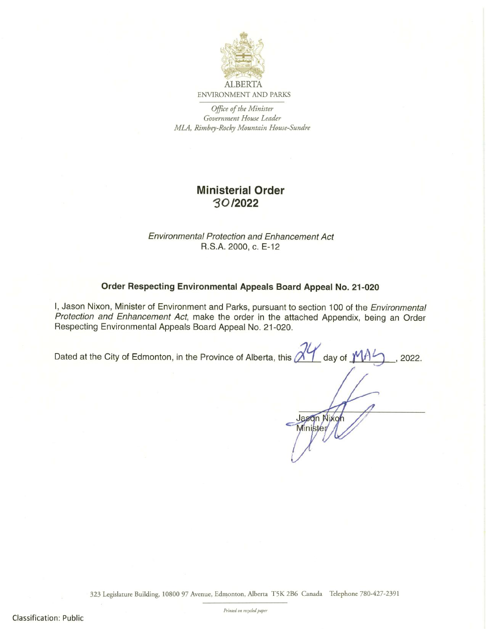

ENVIRONMENT AND PARKS

Office of the Minister Government House Leader MLA, Rimbey-Rocky Mountain House-Sundre

## Ministerial Order ~ O /2022

Environmental Protection and Enhancement Act R.S.A. 2000, c. E-12

#### Order Respecting Environmental Appeals Board Appeal No. 21-020

I, Jason Nixon, Minister of Environment and Parks, pursuant to section 100 of the Environmental Protection and Enhancement Act, make the order in the attached Appendix, being an Order Respecting Environmental Appeals Board Appeal No. 21-020.

Dated at the City of Edmonton, in the Province of Alberta, this  $\chi''$  day of  $\gamma$   $\beta$  , 2022.

Jasqn Nixo Minister